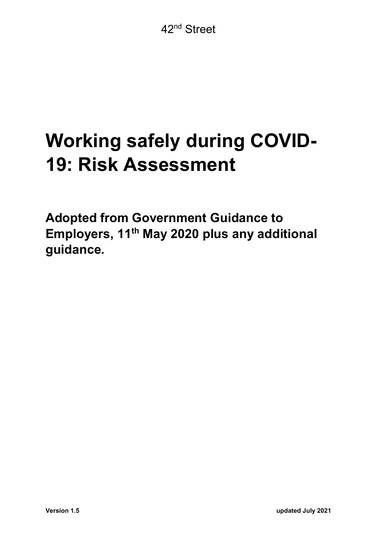# Working safely during COVID-19: Risk Assessment

Adopted from Government Guidance to Employers, 11<sup>th</sup> May 2020 plus any additional guidance.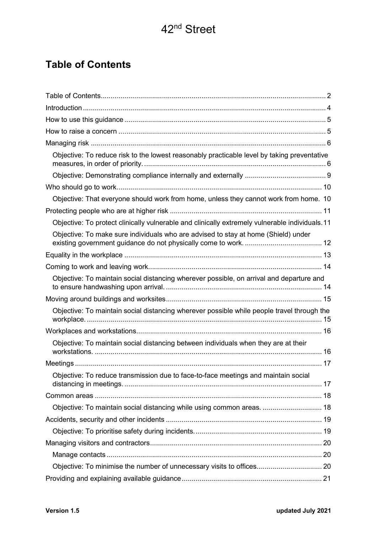### Table of Contents

| Objective: To reduce risk to the lowest reasonably practicable level by taking preventative    |  |
|------------------------------------------------------------------------------------------------|--|
|                                                                                                |  |
|                                                                                                |  |
| Objective: That everyone should work from home, unless they cannot work from home. 10          |  |
|                                                                                                |  |
| Objective: To protect clinically vulnerable and clinically extremely vulnerable individuals.11 |  |
| Objective: To make sure individuals who are advised to stay at home (Shield) under             |  |
|                                                                                                |  |
|                                                                                                |  |
| Objective: To maintain social distancing wherever possible, on arrival and departure and       |  |
|                                                                                                |  |
| Objective: To maintain social distancing wherever possible while people travel through the     |  |
|                                                                                                |  |
| Objective: To maintain social distancing between individuals when they are at their            |  |
|                                                                                                |  |
| Objective: To reduce transmission due to face-to-face meetings and maintain social             |  |
|                                                                                                |  |
| Objective: To maintain social distancing while using common areas.  18                         |  |
|                                                                                                |  |
|                                                                                                |  |
|                                                                                                |  |
|                                                                                                |  |
| Objective: To minimise the number of unnecessary visits to offices 20                          |  |
|                                                                                                |  |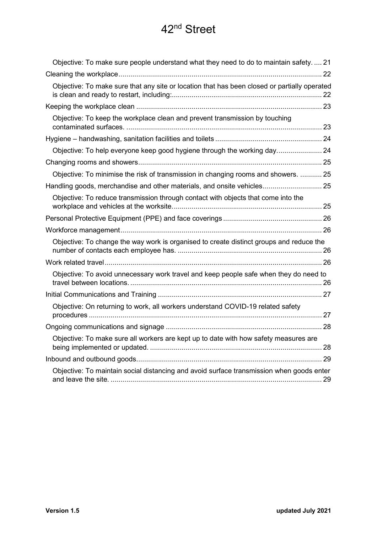| Objective: To make sure people understand what they need to do to maintain safety 21         |
|----------------------------------------------------------------------------------------------|
|                                                                                              |
| Objective: To make sure that any site or location that has been closed or partially operated |
|                                                                                              |
| Objective: To keep the workplace clean and prevent transmission by touching                  |
|                                                                                              |
|                                                                                              |
|                                                                                              |
| Objective: To minimise the risk of transmission in changing rooms and showers.  25           |
| Handling goods, merchandise and other materials, and onsite vehicles 25                      |
| Objective: To reduce transmission through contact with objects that come into the            |
|                                                                                              |
|                                                                                              |
| Objective: To change the way work is organised to create distinct groups and reduce the      |
|                                                                                              |
| Objective: To avoid unnecessary work travel and keep people safe when they do need to        |
|                                                                                              |
| Objective: On returning to work, all workers understand COVID-19 related safety              |
|                                                                                              |
| Objective: To make sure all workers are kept up to date with how safety measures are         |
|                                                                                              |
| Objective: To maintain social distancing and avoid surface transmission when goods enter     |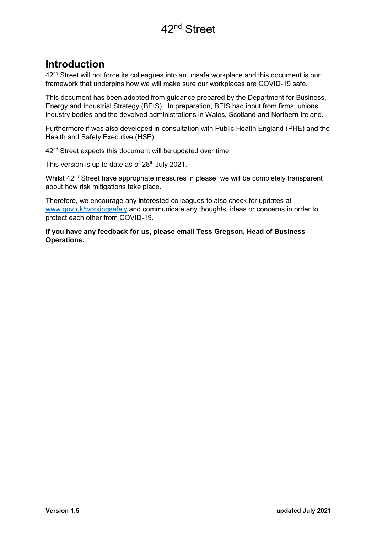#### Introduction

42<sup>nd</sup> Street will not force its colleagues into an unsafe workplace and this document is our framework that underpins how we will make sure our workplaces are COVID-19 safe.

This document has been adopted from guidance prepared by the Department for Business, Energy and Industrial Strategy (BEIS). In preparation, BEIS had input from firms, unions, industry bodies and the devolved administrations in Wales, Scotland and Northern Ireland.

Furthermore if was also developed in consultation with Public Health England (PHE) and the Health and Safety Executive (HSE).

42<sup>nd</sup> Street expects this document will be updated over time.

This version is up to date as of  $28<sup>th</sup>$  July 2021.

Whilst  $42<sup>nd</sup>$  Street have appropriate measures in please, we will be completely transparent about how risk mitigations take place.

Therefore, we encourage any interested colleagues to also check for updates at www.gov.uk/workingsafely and communicate any thoughts, ideas or concerns in order to protect each other from COVID-19.

If you have any feedback for us, please email Tess Gregson, Head of Business Operations.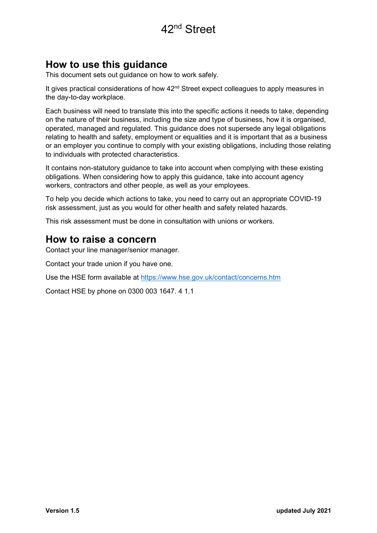#### How to use this guidance

This document sets out guidance on how to work safely.

It gives practical considerations of how 42<sup>nd</sup> Street expect colleagues to apply measures in the day-to-day workplace.

Each business will need to translate this into the specific actions it needs to take, depending on the nature of their business, including the size and type of business, how it is organised, operated, managed and regulated. This guidance does not supersede any legal obligations relating to health and safety, employment or equalities and it is important that as a business or an employer you continue to comply with your existing obligations, including those relating to individuals with protected characteristics.

It contains non-statutory guidance to take into account when complying with these existing obligations. When considering how to apply this guidance, take into account agency workers, contractors and other people, as well as your employees.

To help you decide which actions to take, you need to carry out an appropriate COVID-19 risk assessment, just as you would for other health and safety related hazards.

This risk assessment must be done in consultation with unions or workers.

#### How to raise a concern

Contact your line manager/senior manager.

Contact your trade union if you have one.

Use the HSE form available at https://www.hse.gov.uk/contact/concerns.htm

Contact HSE by phone on 0300 003 1647. 4 1.1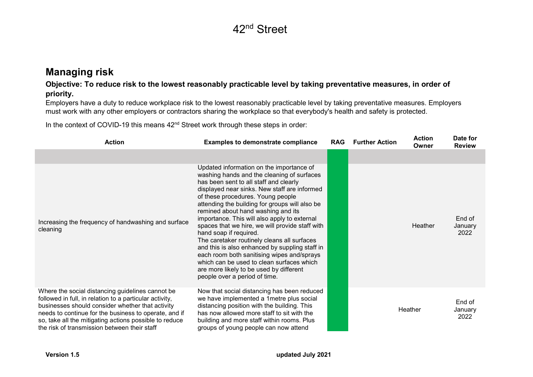#### Managing risk

#### Objective: To reduce risk to the lowest reasonably practicable level by taking preventative measures, in order of priority.

Employers have a duty to reduce workplace risk to the lowest reasonably practicable level by taking preventative measures. Employers must work with any other employers or contractors sharing the workplace so that everybody's health and safety is protected.

In the context of COVID-19 this means 42<sup>nd</sup> Street work through these steps in order:

| <b>Action</b>                                                                                                                                                                                                                                                                                                                      | <b>Examples to demonstrate compliance</b>                                                                                                                                                                                                                                                                                                                                                                                                                                                                                                                                                                                                                                                                          | <b>RAG</b> | <b>Further Action</b> | <b>Action</b><br>Owner | Date for<br><b>Review</b> |
|------------------------------------------------------------------------------------------------------------------------------------------------------------------------------------------------------------------------------------------------------------------------------------------------------------------------------------|--------------------------------------------------------------------------------------------------------------------------------------------------------------------------------------------------------------------------------------------------------------------------------------------------------------------------------------------------------------------------------------------------------------------------------------------------------------------------------------------------------------------------------------------------------------------------------------------------------------------------------------------------------------------------------------------------------------------|------------|-----------------------|------------------------|---------------------------|
|                                                                                                                                                                                                                                                                                                                                    |                                                                                                                                                                                                                                                                                                                                                                                                                                                                                                                                                                                                                                                                                                                    |            |                       |                        |                           |
| Increasing the frequency of handwashing and surface<br>cleaning                                                                                                                                                                                                                                                                    | Updated information on the importance of<br>washing hands and the cleaning of surfaces<br>has been sent to all staff and clearly<br>displayed near sinks. New staff are informed<br>of these procedures. Young people<br>attending the building for groups will also be<br>remined about hand washing and its<br>importance. This will also apply to external<br>spaces that we hire, we will provide staff with<br>hand soap if required.<br>The caretaker routinely cleans all surfaces<br>and this is also enhanced by suppling staff in<br>each room both sanitising wipes and/sprays<br>which can be used to clean surfaces which<br>are more likely to be used by different<br>people over a period of time. |            |                       | Heather                | End of<br>January<br>2022 |
| Where the social distancing guidelines cannot be<br>followed in full, in relation to a particular activity,<br>businesses should consider whether that activity<br>needs to continue for the business to operate, and if<br>so, take all the mitigating actions possible to reduce<br>the risk of transmission between their staff | Now that social distancing has been reduced<br>we have implemented a 1 metre plus social<br>distancing position with the building. This<br>has now allowed more staff to sit with the<br>building and more staff within rooms. Plus<br>groups of young people can now attend                                                                                                                                                                                                                                                                                                                                                                                                                                       |            |                       | Heather                | End of<br>January<br>2022 |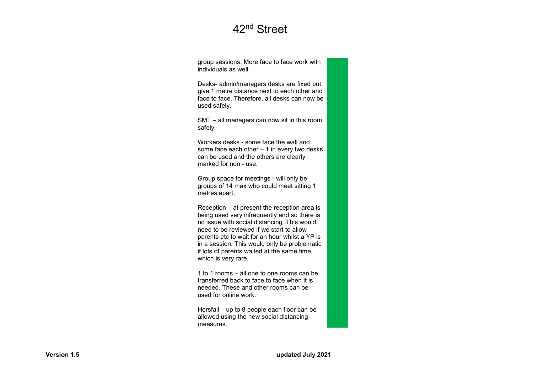group sessions. More face to face work with individuals as well.

Desks- admin/managers desks are fixed but give 1 metre distance next to each other and face to face. Therefore, all desks can now be used safely.

SMT – all managers can now sit in this room safely.

Workers desks - some face the wall and some face each other – 1 in every two desks can be used and the others are clearly marked for non - use.

Group space for meetings - will only be groups of 14 max who could meet sitting 1 metres apart.

Reception – at present the reception area is being used very infrequently and so there is no issue with social distancing. This would need to be reviewed if we start to allow parents etc to wait for an hour whilst a YP is in a session. This would only be problematic if lots of parents waited at the same time, which is very rare.

1 to 1 rooms – all one to one rooms can be transferred back to face to face when it is needed. These and other rooms can be used for online work.

Horsfall – up to 8 people each floor can be allowed using the new social distancing measures.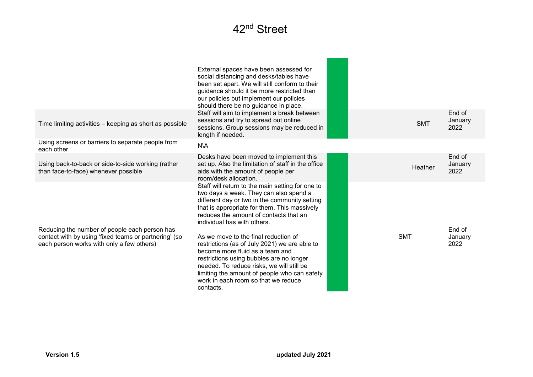|                                                                                                                                                     | External spaces have been assessed for<br>social distancing and desks/tables have<br>been set apart. We will still conform to their<br>guidance should it be more restricted than<br>our policies but implement our policies<br>should there be no guidance in place.                                                                                                                                                                                                                                                                                                                         |            |                           |
|-----------------------------------------------------------------------------------------------------------------------------------------------------|-----------------------------------------------------------------------------------------------------------------------------------------------------------------------------------------------------------------------------------------------------------------------------------------------------------------------------------------------------------------------------------------------------------------------------------------------------------------------------------------------------------------------------------------------------------------------------------------------|------------|---------------------------|
| Time limiting activities - keeping as short as possible                                                                                             | Staff will aim to implement a break between<br>sessions and try to spread out online<br>sessions. Group sessions may be reduced in<br>length if needed.                                                                                                                                                                                                                                                                                                                                                                                                                                       | <b>SMT</b> | End of<br>January<br>2022 |
| Using screens or barriers to separate people from<br>each other                                                                                     | <b>N\A</b>                                                                                                                                                                                                                                                                                                                                                                                                                                                                                                                                                                                    |            |                           |
| Using back-to-back or side-to-side working (rather<br>than face-to-face) whenever possible                                                          | Desks have been moved to implement this<br>set up. Also the limitation of staff in the office<br>aids with the amount of people per<br>room/desk allocation.                                                                                                                                                                                                                                                                                                                                                                                                                                  | Heather    | End of<br>January<br>2022 |
| Reducing the number of people each person has<br>contact with by using 'fixed teams or partnering' (so<br>each person works with only a few others) | Staff will return to the main setting for one to<br>two days a week. They can also spend a<br>different day or two in the community setting<br>that is appropriate for them. This massively<br>reduces the amount of contacts that an<br>individual has with others.<br>As we move to the final reduction of<br>restrictions (as of July 2021) we are able to<br>become more fluid as a team and<br>restrictions using bubbles are no longer<br>needed. To reduce risks, we will still be<br>limiting the amount of people who can safety<br>work in each room so that we reduce<br>contacts. | <b>SMT</b> | End of<br>January<br>2022 |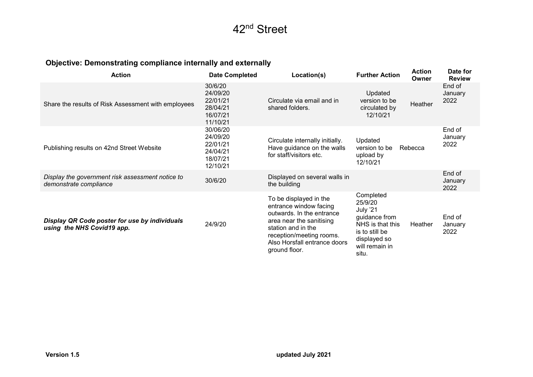#### Objective: Demonstrating compliance internally and externally

| <b>Action</b>                                                               | <b>Date Completed</b>                                                | Location(s)                                                                                                                                                                                                  | <b>Further Action</b>                                                                                                              | <b>Action</b><br>Owner | Date for<br><b>Review</b> |
|-----------------------------------------------------------------------------|----------------------------------------------------------------------|--------------------------------------------------------------------------------------------------------------------------------------------------------------------------------------------------------------|------------------------------------------------------------------------------------------------------------------------------------|------------------------|---------------------------|
| Share the results of Risk Assessment with employees                         | 30/6/20<br>24/09/20<br>22/01/21<br>28/04/21<br>16/07/21<br>11/10/21  | Circulate via email and in<br>shared folders.                                                                                                                                                                | Updated<br>version to be<br>circulated by<br>12/10/21                                                                              | Heather                | End of<br>January<br>2022 |
| Publishing results on 42nd Street Website                                   | 30/06/20<br>24/09/20<br>22/01/21<br>24/04/21<br>18/07/21<br>12/10/21 | Circulate internally initially.<br>Have guidance on the walls<br>for staff/visitors etc.                                                                                                                     | Updated<br>version to be<br>upload by<br>12/10/21                                                                                  | Rebecca                | End of<br>January<br>2022 |
| Display the government risk assessment notice to<br>demonstrate compliance  | 30/6/20                                                              | Displayed on several walls in<br>the building                                                                                                                                                                |                                                                                                                                    |                        | End of<br>January<br>2022 |
| Display QR Code poster for use by individuals<br>using the NHS Covid19 app. | 24/9/20                                                              | To be displayed in the<br>entrance window facing<br>outwards. In the entrance<br>area near the sanitising<br>station and in the<br>reception/meeting rooms.<br>Also Horsfall entrance doors<br>ground floor. | Completed<br>25/9/20<br>July '21<br>guidance from<br>NHS is that this<br>is to still be<br>displayed so<br>will remain in<br>situ. | Heather                | End of<br>January<br>2022 |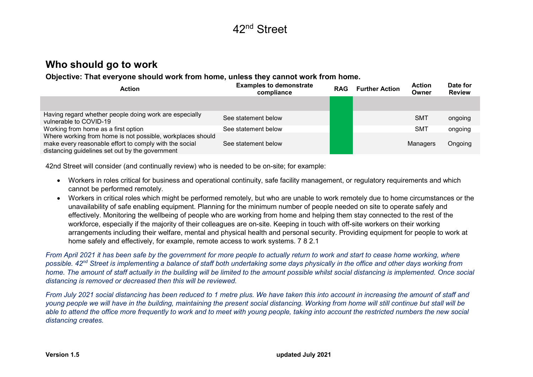#### Who should go to work

Objective: That everyone should work from home, unless they cannot work from home.

| <b>Action</b>                                                                                                                                                           | <b>Examples to demonstrate</b><br>compliance | <b>RAG</b> | <b>Further Action</b> | <b>Action</b><br>Owner | Date for<br><b>Review</b> |
|-------------------------------------------------------------------------------------------------------------------------------------------------------------------------|----------------------------------------------|------------|-----------------------|------------------------|---------------------------|
|                                                                                                                                                                         |                                              |            |                       |                        |                           |
| Having regard whether people doing work are especially<br>vulnerable to COVID-19                                                                                        | See statement below                          |            |                       | <b>SMT</b>             | ongoing                   |
| Working from home as a first option                                                                                                                                     | See statement below                          |            |                       | <b>SMT</b>             | ongoing                   |
| Where working from home is not possible, workplaces should<br>make every reasonable effort to comply with the social<br>distancing guidelines set out by the government | See statement below                          |            |                       | Managers               | Ongoing                   |

42nd Street will consider (and continually review) who is needed to be on-site; for example:

- Workers in roles critical for business and operational continuity, safe facility management, or regulatory requirements and which cannot be performed remotely.
- Workers in critical roles which might be performed remotely, but who are unable to work remotely due to home circumstances or the unavailability of safe enabling equipment. Planning for the minimum number of people needed on site to operate safely and effectively. Monitoring the wellbeing of people who are working from home and helping them stay connected to the rest of the workforce, especially if the majority of their colleagues are on-site. Keeping in touch with off-site workers on their working arrangements including their welfare, mental and physical health and personal security. Providing equipment for people to work at home safely and effectively, for example, remote access to work systems. 7 8 2.1

From April 2021 it has been safe by the government for more people to actually return to work and start to cease home working, where possible. 42<sup>nd</sup> Street is implementing a balance of staff both undertaking some days physically in the office and other days working from home. The amount of staff actually in the building will be limited to the amount possible whilst social distancing is implemented. Once social distancing is removed or decreased then this will be reviewed.

From July 2021 social distancing has been reduced to 1 metre plus. We have taken this into account in increasing the amount of staff and young people we will have in the building, maintaining the present social distancing. Working from home will still continue but stall will be able to attend the office more frequently to work and to meet with young people, taking into account the restricted numbers the new social distancing creates.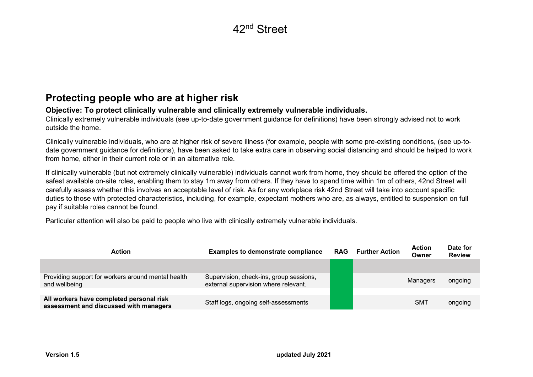#### Protecting people who are at higher risk

#### Objective: To protect clinically vulnerable and clinically extremely vulnerable individuals.

Clinically extremely vulnerable individuals (see up-to-date government guidance for definitions) have been strongly advised not to work outside the home.

Clinically vulnerable individuals, who are at higher risk of severe illness (for example, people with some pre-existing conditions, (see up-todate government guidance for definitions), have been asked to take extra care in observing social distancing and should be helped to work from home, either in their current role or in an alternative role.

If clinically vulnerable (but not extremely clinically vulnerable) individuals cannot work from home, they should be offered the option of the safest available on-site roles, enabling them to stay 1m away from others. If they have to spend time within 1m of others, 42nd Street will carefully assess whether this involves an acceptable level of risk. As for any workplace risk 42nd Street will take into account specific duties to those with protected characteristics, including, for example, expectant mothers who are, as always, entitled to suspension on full pay if suitable roles cannot be found.

Particular attention will also be paid to people who live with clinically extremely vulnerable individuals.

| Action                                                                             | <b>Examples to demonstrate compliance</b>                                       | <b>RAG</b> | <b>Further Action</b> | <b>Action</b><br>Owner | Date for<br><b>Review</b> |
|------------------------------------------------------------------------------------|---------------------------------------------------------------------------------|------------|-----------------------|------------------------|---------------------------|
|                                                                                    |                                                                                 |            |                       |                        |                           |
| Providing support for workers around mental health<br>and wellbeing                | Supervision, check-ins, group sessions,<br>external supervision where relevant. |            |                       | Managers               | ongoing                   |
|                                                                                    |                                                                                 |            |                       |                        |                           |
| All workers have completed personal risk<br>assessment and discussed with managers | Staff logs, ongoing self-assessments                                            |            |                       | <b>SMT</b>             | ongoing                   |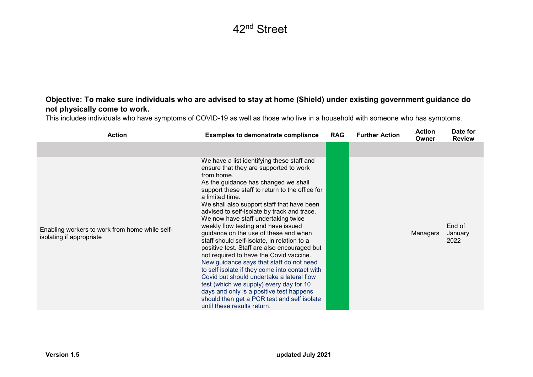#### Objective: To make sure individuals who are advised to stay at home (Shield) under existing government guidance do not physically come to work.

This includes individuals who have symptoms of COVID-19 as well as those who live in a household with someone who has symptoms.

| <b>Action</b>                                                              | <b>Examples to demonstrate compliance</b>                                                                                                                                                                                                                                                                                                                                                                                                                                                                                                                                                                                                                                                                                                                                                                                                                                                      | <b>RAG</b> | <b>Further Action</b> | <b>Action</b><br>Owner | Date for<br><b>Review</b> |
|----------------------------------------------------------------------------|------------------------------------------------------------------------------------------------------------------------------------------------------------------------------------------------------------------------------------------------------------------------------------------------------------------------------------------------------------------------------------------------------------------------------------------------------------------------------------------------------------------------------------------------------------------------------------------------------------------------------------------------------------------------------------------------------------------------------------------------------------------------------------------------------------------------------------------------------------------------------------------------|------------|-----------------------|------------------------|---------------------------|
|                                                                            |                                                                                                                                                                                                                                                                                                                                                                                                                                                                                                                                                                                                                                                                                                                                                                                                                                                                                                |            |                       |                        |                           |
| Enabling workers to work from home while self-<br>isolating if appropriate | We have a list identifying these staff and<br>ensure that they are supported to work<br>from home.<br>As the guidance has changed we shall<br>support these staff to return to the office for<br>a limited time.<br>We shall also support staff that have been<br>advised to self-isolate by track and trace.<br>We now have staff undertaking twice<br>weekly flow testing and have issued<br>guidance on the use of these and when<br>staff should self-isolate, in relation to a<br>positive test. Staff are also encouraged but<br>not required to have the Covid vaccine.<br>New guidance says that staff do not need<br>to self isolate if they come into contact with<br>Covid but should undertake a lateral flow<br>test (which we supply) every day for 10<br>days and only is a positive test happens<br>should then get a PCR test and self isolate<br>until these results return. |            |                       | Managers               | End of<br>January<br>2022 |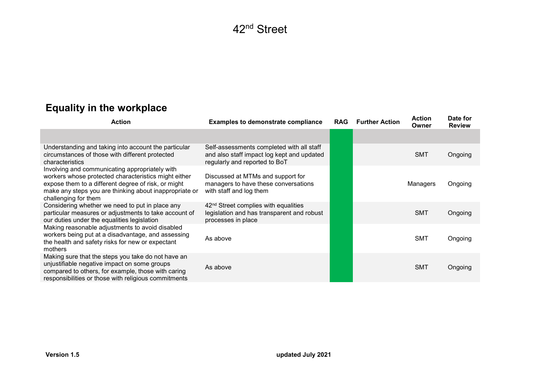# Equality in the workplace

| <b>Action</b>                                                                                                                                                                                                                                   | <b>Examples to demonstrate compliance</b>                                                                                | <b>RAG</b> | <b>Further Action</b> | <b>Action</b><br>Owner | Date for<br><b>Review</b> |
|-------------------------------------------------------------------------------------------------------------------------------------------------------------------------------------------------------------------------------------------------|--------------------------------------------------------------------------------------------------------------------------|------------|-----------------------|------------------------|---------------------------|
|                                                                                                                                                                                                                                                 |                                                                                                                          |            |                       |                        |                           |
| Understanding and taking into account the particular<br>circumstances of those with different protected<br>characteristics                                                                                                                      | Self-assessments completed with all staff<br>and also staff impact log kept and updated<br>regularly and reported to BoT |            |                       | <b>SMT</b>             | Ongoing                   |
| Involving and communicating appropriately with<br>workers whose protected characteristics might either<br>expose them to a different degree of risk, or might<br>make any steps you are thinking about inappropriate or<br>challenging for them | Discussed at MTMs and support for<br>managers to have these conversations<br>with staff and log them                     |            |                       | Managers               | Ongoing                   |
| Considering whether we need to put in place any<br>particular measures or adjustments to take account of<br>our duties under the equalities legislation                                                                                         | 42 <sup>nd</sup> Street complies with equalities<br>legislation and has transparent and robust<br>processes in place     |            |                       | <b>SMT</b>             | Ongoing                   |
| Making reasonable adjustments to avoid disabled<br>workers being put at a disadvantage, and assessing<br>the health and safety risks for new or expectant<br>mothers                                                                            | As above                                                                                                                 |            |                       | <b>SMT</b>             | Ongoing                   |
| Making sure that the steps you take do not have an<br>unjustifiable negative impact on some groups<br>compared to others, for example, those with caring<br>responsibilities or those with religious commitments                                | As above                                                                                                                 |            |                       | <b>SMT</b>             | Ongoing                   |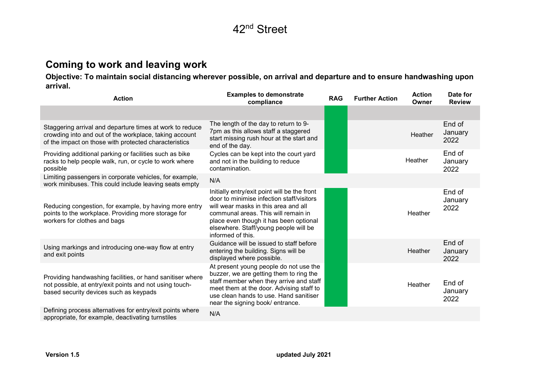#### Coming to work and leaving work

Objective: To maintain social distancing wherever possible, on arrival and departure and to ensure handwashing upon arrival.

| <b>Action</b>                                                                                                                                                               | <b>Examples to demonstrate</b><br>compliance                                                                                                                                                                                                                                     | <b>RAG</b> | <b>Further Action</b> | <b>Action</b><br>Owner | Date for<br><b>Review</b> |
|-----------------------------------------------------------------------------------------------------------------------------------------------------------------------------|----------------------------------------------------------------------------------------------------------------------------------------------------------------------------------------------------------------------------------------------------------------------------------|------------|-----------------------|------------------------|---------------------------|
|                                                                                                                                                                             |                                                                                                                                                                                                                                                                                  |            |                       |                        |                           |
| Staggering arrival and departure times at work to reduce<br>crowding into and out of the workplace, taking account<br>of the impact on those with protected characteristics | The length of the day to return to 9-<br>7pm as this allows staff a staggered<br>start missing rush hour at the start and<br>end of the day.                                                                                                                                     |            |                       | Heather                | End of<br>January<br>2022 |
| Providing additional parking or facilities such as bike<br>racks to help people walk, run, or cycle to work where<br>possible                                               | Cycles can be kept into the court yard<br>and not in the building to reduce<br>contamination.                                                                                                                                                                                    |            |                       | Heather                | End of<br>January<br>2022 |
| Limiting passengers in corporate vehicles, for example,<br>work minibuses. This could include leaving seats empty                                                           | N/A                                                                                                                                                                                                                                                                              |            |                       |                        |                           |
| Reducing congestion, for example, by having more entry<br>points to the workplace. Providing more storage for<br>workers for clothes and bags                               | Initially entry/exit point will be the front<br>door to minimise infection staff/visitors<br>will wear masks in this area and all<br>communal areas. This will remain in<br>place even though it has been optional<br>elsewhere. Staff/young people will be<br>informed of this. |            |                       | Heather                | End of<br>January<br>2022 |
| Using markings and introducing one-way flow at entry<br>and exit points                                                                                                     | Guidance will be issued to staff before<br>entering the building. Signs will be<br>displayed where possible.                                                                                                                                                                     |            |                       | Heather                | End of<br>January<br>2022 |
| Providing handwashing facilities, or hand sanitiser where<br>not possible, at entry/exit points and not using touch-<br>based security devices such as keypads              | At present young people do not use the<br>buzzer, we are getting them to ring the<br>staff member when they arrive and staff<br>meet them at the door. Advising staff to<br>use clean hands to use. Hand sanitiser<br>near the signing book/ entrance.                           |            |                       | Heather                | End of<br>January<br>2022 |
| Defining process alternatives for entry/exit points where<br>appropriate, for example, deactivating turnstiles                                                              | N/A                                                                                                                                                                                                                                                                              |            |                       |                        |                           |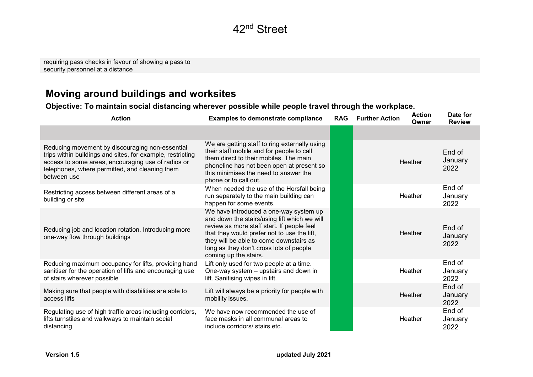requiring pass checks in favour of showing a pass to security personnel at a distance

#### Moving around buildings and worksites

#### Objective: To maintain social distancing wherever possible while people travel through the workplace.

| <b>Action</b>                                                                                                                                                                                                                        | <b>Examples to demonstrate compliance</b>                                                                                                                                                                                                                                                          | <b>RAG</b> | <b>Further Action</b> | <b>Action</b><br>Owner | Date for<br><b>Review</b> |
|--------------------------------------------------------------------------------------------------------------------------------------------------------------------------------------------------------------------------------------|----------------------------------------------------------------------------------------------------------------------------------------------------------------------------------------------------------------------------------------------------------------------------------------------------|------------|-----------------------|------------------------|---------------------------|
|                                                                                                                                                                                                                                      |                                                                                                                                                                                                                                                                                                    |            |                       |                        |                           |
| Reducing movement by discouraging non-essential<br>trips within buildings and sites, for example, restricting<br>access to some areas, encouraging use of radios or<br>telephones, where permitted, and cleaning them<br>between use | We are getting staff to ring externally using<br>their staff mobile and for people to call<br>them direct to their mobiles. The main<br>phoneline has not been open at present so<br>this minimises the need to answer the<br>phone or to call out.                                                |            |                       | Heather                | End of<br>January<br>2022 |
| Restricting access between different areas of a<br>building or site                                                                                                                                                                  | When needed the use of the Horsfall being<br>run separately to the main building can<br>happen for some events.                                                                                                                                                                                    |            |                       | Heather                | End of<br>January<br>2022 |
| Reducing job and location rotation. Introducing more<br>one-way flow through buildings                                                                                                                                               | We have introduced a one-way system up<br>and down the stairs/using lift which we will<br>review as more staff start. If people feel<br>that they would prefer not to use the lift,<br>they will be able to come downstairs as<br>long as they don't cross lots of people<br>coming up the stairs. |            |                       | Heather                | End of<br>January<br>2022 |
| Reducing maximum occupancy for lifts, providing hand<br>sanitiser for the operation of lifts and encouraging use<br>of stairs wherever possible                                                                                      | Lift only used for two people at a time.<br>One-way system - upstairs and down in<br>lift. Sanitising wipes in lift.                                                                                                                                                                               |            |                       | Heather                | End of<br>January<br>2022 |
| Making sure that people with disabilities are able to<br>access lifts                                                                                                                                                                | Lift will always be a priority for people with<br>mobility issues.                                                                                                                                                                                                                                 |            |                       | Heather                | End of<br>January<br>2022 |
| Regulating use of high traffic areas including corridors,<br>lifts turnstiles and walkways to maintain social<br>distancing                                                                                                          | We have now recommended the use of<br>face masks in all communal areas to<br>include corridors/ stairs etc.                                                                                                                                                                                        |            |                       | Heather                | End of<br>January<br>2022 |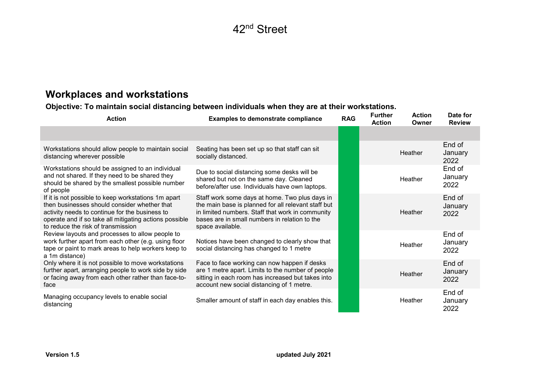### Workplaces and workstations

Objective: To maintain social distancing between individuals when they are at their workstations.

| <b>Action</b>                                                                                                                                                                                                                                         | <b>Examples to demonstrate compliance</b>                                                                                                                                                                                      | <b>RAG</b> | <b>Further</b><br><b>Action</b> | <b>Action</b><br>Owner | Date for<br><b>Review</b> |
|-------------------------------------------------------------------------------------------------------------------------------------------------------------------------------------------------------------------------------------------------------|--------------------------------------------------------------------------------------------------------------------------------------------------------------------------------------------------------------------------------|------------|---------------------------------|------------------------|---------------------------|
|                                                                                                                                                                                                                                                       |                                                                                                                                                                                                                                |            |                                 |                        |                           |
| Workstations should allow people to maintain social<br>distancing wherever possible                                                                                                                                                                   | Seating has been set up so that staff can sit<br>socially distanced.                                                                                                                                                           |            |                                 | <b>Heather</b>         | End of<br>January<br>2022 |
| Workstations should be assigned to an individual<br>and not shared. If they need to be shared they<br>should be shared by the smallest possible number<br>of people                                                                                   | Due to social distancing some desks will be<br>shared but not on the same day. Cleaned<br>before/after use. Individuals have own laptops.                                                                                      |            |                                 | Heather                | End of<br>January<br>2022 |
| If it is not possible to keep workstations 1m apart<br>then businesses should consider whether that<br>activity needs to continue for the business to<br>operate and if so take all mitigating actions possible<br>to reduce the risk of transmission | Staff work some days at home. Two plus days in<br>the main base is planned for all relevant staff but<br>in limited numbers. Staff that work in community<br>bases are in small numbers in relation to the<br>space available. |            |                                 | Heather                | End of<br>January<br>2022 |
| Review layouts and processes to allow people to<br>work further apart from each other (e.g. using floor<br>tape or paint to mark areas to help workers keep to<br>a 1m distance)                                                                      | Notices have been changed to clearly show that<br>social distancing has changed to 1 metre                                                                                                                                     |            |                                 | Heather                | End of<br>January<br>2022 |
| Only where it is not possible to move workstations<br>further apart, arranging people to work side by side<br>or facing away from each other rather than face-to-<br>face                                                                             | Face to face working can now happen if desks<br>are 1 metre apart. Limits to the number of people<br>sitting in each room has increased but takes into<br>account new social distancing of 1 metre.                            |            |                                 | Heather                | End of<br>January<br>2022 |
| Managing occupancy levels to enable social<br>distancing                                                                                                                                                                                              | Smaller amount of staff in each day enables this.                                                                                                                                                                              |            |                                 | Heather                | End of<br>January<br>2022 |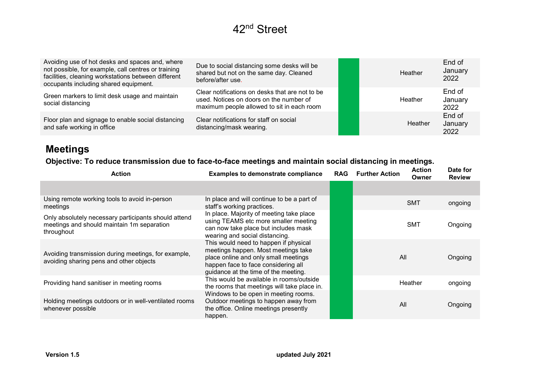| Avoiding use of hot desks and spaces and, where<br>not possible, for example, call centres or training<br>facilities, cleaning workstations between different<br>occupants including shared equipment. | Due to social distancing some desks will be<br>shared but not on the same day. Cleaned<br>before/after use.                              | Heather | End of<br>January<br>2022 |
|--------------------------------------------------------------------------------------------------------------------------------------------------------------------------------------------------------|------------------------------------------------------------------------------------------------------------------------------------------|---------|---------------------------|
| Green markers to limit desk usage and maintain<br>social distancing                                                                                                                                    | Clear notifications on desks that are not to be<br>used. Notices on doors on the number of<br>maximum people allowed to sit in each room | Heather | End of<br>January<br>2022 |
| Floor plan and signage to enable social distancing<br>and safe working in office                                                                                                                       | Clear notifications for staff on social<br>distancing/mask wearing.                                                                      | Heather | End of<br>January<br>2022 |

### Meetings

#### Objective: To reduce transmission due to face-to-face meetings and maintain social distancing in meetings.

| <b>Action</b>                                                                                                    | <b>Examples to demonstrate compliance</b>                                                                                                                                                           | <b>RAG</b> | <b>Further Action</b> | <b>Action</b><br>Owner | Date for<br><b>Review</b> |
|------------------------------------------------------------------------------------------------------------------|-----------------------------------------------------------------------------------------------------------------------------------------------------------------------------------------------------|------------|-----------------------|------------------------|---------------------------|
|                                                                                                                  |                                                                                                                                                                                                     |            |                       |                        |                           |
| Using remote working tools to avoid in-person<br>meetings                                                        | In place and will continue to be a part of<br>staff's working practices.                                                                                                                            |            |                       | <b>SMT</b>             | ongoing                   |
| Only absolutely necessary participants should attend<br>meetings and should maintain 1m separation<br>throughout | In place. Majority of meeting take place<br>using TEAMS etc more smaller meeting<br>can now take place but includes mask<br>wearing and social distancing.                                          |            |                       | <b>SMT</b>             | Ongoing                   |
| Avoiding transmission during meetings, for example,<br>avoiding sharing pens and other objects                   | This would need to happen if physical<br>meetings happen. Most meetings take<br>place online and only small meetings<br>happen face to face considering all<br>guidance at the time of the meeting. |            |                       | All                    | Ongoing                   |
| Providing hand sanitiser in meeting rooms                                                                        | This would be available in rooms/outside<br>the rooms that meetings will take place in.                                                                                                             |            |                       | Heather                | ongoing                   |
| Holding meetings outdoors or in well-ventilated rooms<br>whenever possible                                       | Windows to be open in meeting rooms.<br>Outdoor meetings to happen away from<br>the office. Online meetings presently<br>happen.                                                                    |            |                       | All                    | Ongoing                   |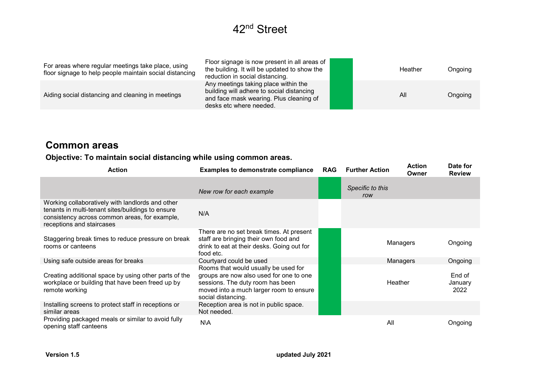| For areas where regular meetings take place, using<br>floor signage to help people maintain social distancing | Floor signage is now present in all areas of<br>the building. It will be updated to show the<br>reduction in social distancing.                         |  | Heather | Ongoing |
|---------------------------------------------------------------------------------------------------------------|---------------------------------------------------------------------------------------------------------------------------------------------------------|--|---------|---------|
| Aiding social distancing and cleaning in meetings                                                             | Any meetings taking place within the<br>building will adhere to social distancing<br>and face mask wearing. Plus cleaning of<br>desks etc where needed. |  | All     | Ongoing |

#### Common areas

#### Objective: To maintain social distancing while using common areas.

| <b>Action</b>                                                                                                                                                                       | <b>Examples to demonstrate compliance</b>                                                                                                                                            | <b>RAG</b> | <b>Further Action</b>   | <b>Action</b><br>Owner | Date for<br><b>Review</b> |
|-------------------------------------------------------------------------------------------------------------------------------------------------------------------------------------|--------------------------------------------------------------------------------------------------------------------------------------------------------------------------------------|------------|-------------------------|------------------------|---------------------------|
|                                                                                                                                                                                     | New row for each example                                                                                                                                                             |            | Specific to this<br>row |                        |                           |
| Working collaboratively with landlords and other<br>tenants in multi-tenant sites/buildings to ensure<br>consistency across common areas, for example,<br>receptions and staircases | N/A                                                                                                                                                                                  |            |                         |                        |                           |
| Staggering break times to reduce pressure on break<br>rooms or canteens                                                                                                             | There are no set break times. At present<br>staff are bringing their own food and<br>drink to eat at their desks. Going out for<br>food etc.                                         |            |                         | Managers               | Ongoing                   |
| Using safe outside areas for breaks                                                                                                                                                 | Courtyard could be used                                                                                                                                                              |            |                         | Managers               | Ongoing                   |
| Creating additional space by using other parts of the<br>workplace or building that have been freed up by<br>remote working                                                         | Rooms that would usually be used for<br>groups are now also used for one to one<br>sessions. The duty room has been<br>moved into a much larger room to ensure<br>social distancing. |            | Heather                 |                        | End of<br>January<br>2022 |
| Installing screens to protect staff in receptions or<br>similar areas                                                                                                               | Reception area is not in public space.<br>Not needed.                                                                                                                                |            |                         |                        |                           |
| Providing packaged meals or similar to avoid fully<br>opening staff canteens                                                                                                        | N\A                                                                                                                                                                                  |            | All                     |                        | Ongoing                   |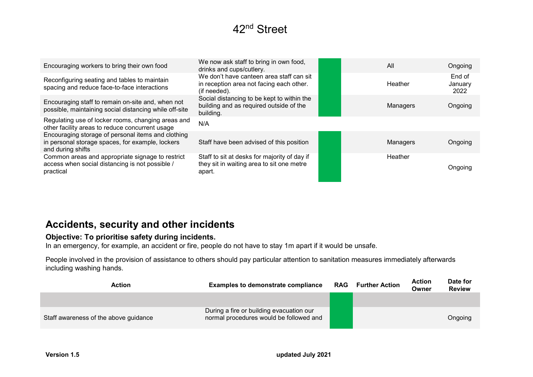| Encouraging workers to bring their own food                                                                                 | We now ask staff to bring in own food,<br>drinks and cups/cutlery.                                   | All      | Ongoing                   |
|-----------------------------------------------------------------------------------------------------------------------------|------------------------------------------------------------------------------------------------------|----------|---------------------------|
| Reconfiguring seating and tables to maintain<br>spacing and reduce face-to-face interactions                                | We don't have canteen area staff can sit<br>in reception area not facing each other.<br>(if needed). | Heather  | End of<br>January<br>2022 |
| Encouraging staff to remain on-site and, when not<br>possible, maintaining social distancing while off-site                 | Social distancing to be kept to within the<br>building and as required outside of the<br>building.   | Managers | Ongoing                   |
| Regulating use of locker rooms, changing areas and<br>other facility areas to reduce concurrent usage                       | N/A                                                                                                  |          |                           |
| Encouraging storage of personal items and clothing<br>in personal storage spaces, for example, lockers<br>and during shifts | Staff have been advised of this position                                                             | Managers | Ongoing                   |
| Common areas and appropriate signage to restrict<br>access when social distancing is not possible /<br>practical            | Staff to sit at desks for majority of day if<br>they sit in waiting area to sit one metre<br>apart.  | Heather  | Ongoing                   |

#### Accidents, security and other incidents

#### Objective: To prioritise safety during incidents.

In an emergency, for example, an accident or fire, people do not have to stay 1m apart if it would be unsafe.

People involved in the provision of assistance to others should pay particular attention to sanitation measures immediately afterwards including washing hands.

| <b>Action</b>                         | <b>Examples to demonstrate compliance</b>                                           | RAG | <b>Further Action</b> | <b>Action</b><br>Owner | Date for<br><b>Review</b> |
|---------------------------------------|-------------------------------------------------------------------------------------|-----|-----------------------|------------------------|---------------------------|
|                                       |                                                                                     |     |                       |                        |                           |
| Staff awareness of the above guidance | During a fire or building evacuation our<br>normal procedures would be followed and |     |                       |                        | Ongoing                   |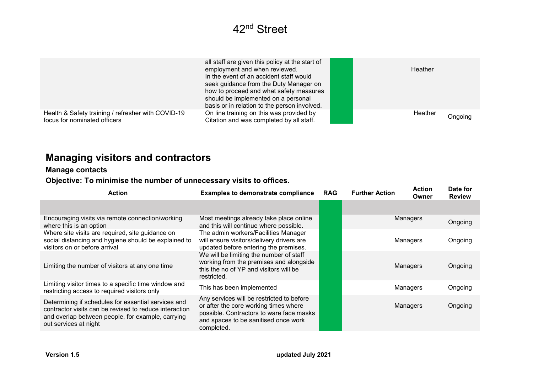|                                                    | all staff are given this policy at the start of<br>employment and when reviewed.<br>In the event of an accident staff would<br>seek guidance from the Duty Manager on<br>how to proceed and what safety measures<br>should be implemented on a personal<br>basis or in relation to the person involved. | Heather |
|----------------------------------------------------|---------------------------------------------------------------------------------------------------------------------------------------------------------------------------------------------------------------------------------------------------------------------------------------------------------|---------|
| Health & Safety training / refresher with COVID-19 | On line training on this was provided by                                                                                                                                                                                                                                                                | Heather |
| focus for nominated officers                       | Citation and was completed by all staff.                                                                                                                                                                                                                                                                | Ongoing |

### Managing visitors and contractors

#### Manage contacts

#### Objective: To minimise the number of unnecessary visits to offices.

| <b>Action</b>                                                                                                                                                                               | <b>Examples to demonstrate compliance</b>                                                                                                                                            | <b>RAG</b> | <b>Further Action</b> | <b>Action</b><br>Owner | Date for<br><b>Review</b> |
|---------------------------------------------------------------------------------------------------------------------------------------------------------------------------------------------|--------------------------------------------------------------------------------------------------------------------------------------------------------------------------------------|------------|-----------------------|------------------------|---------------------------|
|                                                                                                                                                                                             |                                                                                                                                                                                      |            |                       |                        |                           |
| Encouraging visits via remote connection/working<br>where this is an option                                                                                                                 | Most meetings already take place online<br>and this will continue where possible.                                                                                                    |            |                       | Managers               | Ongoing                   |
| Where site visits are required, site guidance on<br>social distancing and hygiene should be explained to<br>visitors on or before arrival                                                   | The admin workers/Facilities Manager<br>will ensure visitors/delivery drivers are<br>updated before entering the premises.                                                           |            |                       | Managers               | Ongoing                   |
| Limiting the number of visitors at any one time                                                                                                                                             | We will be limiting the number of staff<br>working from the premises and alongside<br>this the no of YP and visitors will be<br>restricted.                                          |            |                       | Managers               | Ongoing                   |
| Limiting visitor times to a specific time window and<br>restricting access to required visitors only                                                                                        | This has been implemented                                                                                                                                                            |            |                       | Managers               | Ongoing                   |
| Determining if schedules for essential services and<br>contractor visits can be revised to reduce interaction<br>and overlap between people, for example, carrying<br>out services at night | Any services will be restricted to before<br>or after the core working times where<br>possible. Contractors to ware face masks<br>and spaces to be sanitised once work<br>completed. |            |                       | Managers               | Ongoing                   |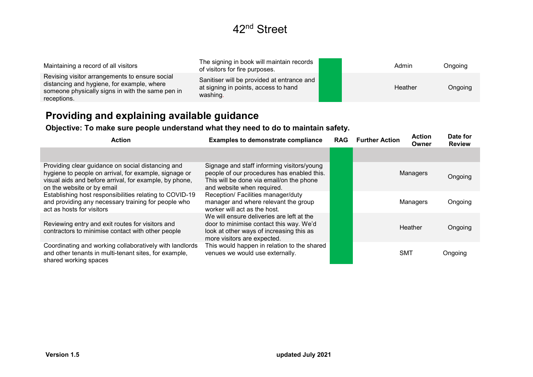| Maintaining a record of all visitors                                                                                                                            | The signing in book will maintain records<br>of visitors for fire purposes.                    |  | Admin   | Ongoing |
|-----------------------------------------------------------------------------------------------------------------------------------------------------------------|------------------------------------------------------------------------------------------------|--|---------|---------|
| Revising visitor arrangements to ensure social<br>distancing and hygiene, for example, where<br>someone physically signs in with the same pen in<br>receptions. | Sanitiser will be provided at entrance and<br>at signing in points, access to hand<br>washing. |  | Heather | Ongoing |

### Providing and explaining available guidance

Objective: To make sure people understand what they need to do to maintain safety.

| <b>Action</b>                                                                                                                                                                                      | <b>Examples to demonstrate compliance</b>                                                                                                                          | <b>RAG</b> | <b>Further Action</b> | <b>Action</b><br>Owner | Date for<br><b>Review</b> |
|----------------------------------------------------------------------------------------------------------------------------------------------------------------------------------------------------|--------------------------------------------------------------------------------------------------------------------------------------------------------------------|------------|-----------------------|------------------------|---------------------------|
|                                                                                                                                                                                                    |                                                                                                                                                                    |            |                       |                        |                           |
| Providing clear guidance on social distancing and<br>hygiene to people on arrival, for example, signage or<br>visual aids and before arrival, for example, by phone,<br>on the website or by email | Signage and staff informing visitors/young<br>people of our procedures has enabled this.<br>This will be done via email/on the phone<br>and website when required. |            |                       | Managers               | Ongoing                   |
| Establishing host responsibilities relating to COVID-19<br>and providing any necessary training for people who<br>act as hosts for visitors                                                        | Reception/ Facilities manager/duty<br>manager and where relevant the group<br>worker will act as the host.                                                         |            |                       | Managers               | Ongoing                   |
| Reviewing entry and exit routes for visitors and<br>contractors to minimise contact with other people                                                                                              | We will ensure deliveries are left at the<br>door to minimise contact this way. We'd<br>look at other ways of increasing this as<br>more visitors are expected.    |            |                       | Heather                | Ongoing                   |
| Coordinating and working collaboratively with landlords<br>and other tenants in multi-tenant sites, for example,<br>shared working spaces                                                          | This would happen in relation to the shared<br>venues we would use externally.                                                                                     |            |                       | <b>SMT</b>             | Ongoing                   |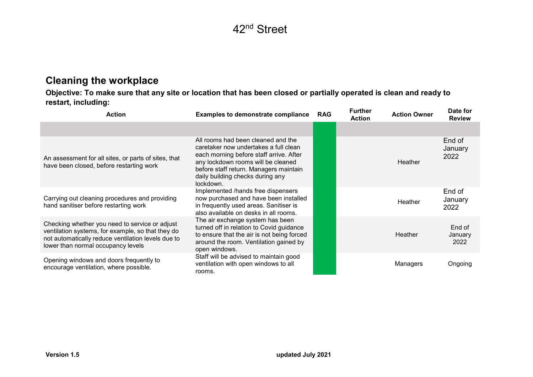#### Cleaning the workplace

Objective: To make sure that any site or location that has been closed or partially operated is clean and ready to restart, including:

| <b>Action</b>                                                                                                                                                                                   | <b>Examples to demonstrate compliance</b>                                                                                                                                                                                                               | <b>RAG</b> | <b>Further</b><br><b>Action</b> | <b>Action Owner</b> | Date for<br><b>Review</b> |
|-------------------------------------------------------------------------------------------------------------------------------------------------------------------------------------------------|---------------------------------------------------------------------------------------------------------------------------------------------------------------------------------------------------------------------------------------------------------|------------|---------------------------------|---------------------|---------------------------|
|                                                                                                                                                                                                 |                                                                                                                                                                                                                                                         |            |                                 |                     |                           |
| An assessment for all sites, or parts of sites, that<br>have been closed, before restarting work                                                                                                | All rooms had been cleaned and the<br>caretaker now undertakes a full clean<br>each morning before staff arrive. After<br>any lockdown rooms will be cleaned<br>before staff return. Managers maintain<br>daily building checks during any<br>lockdown. |            |                                 | Heather             | End of<br>January<br>2022 |
| Carrying out cleaning procedures and providing<br>hand sanitiser before restarting work                                                                                                         | Implemented /hands free dispensers<br>now purchased and have been installed<br>in frequently used areas. Sanitiser is<br>also available on desks in all rooms.                                                                                          |            |                                 | Heather             | End of<br>January<br>2022 |
| Checking whether you need to service or adjust<br>ventilation systems, for example, so that they do<br>not automatically reduce ventilation levels due to<br>lower than normal occupancy levels | The air exchange system has been<br>turned off in relation to Covid guidance<br>to ensure that the air is not being forced<br>around the room. Ventilation gained by<br>open windows.                                                                   |            |                                 | Heather             | End of<br>January<br>2022 |
| Opening windows and doors frequently to<br>encourage ventilation, where possible.                                                                                                               | Staff will be advised to maintain good<br>ventilation with open windows to all<br>rooms.                                                                                                                                                                |            |                                 | Managers            | Ongoing                   |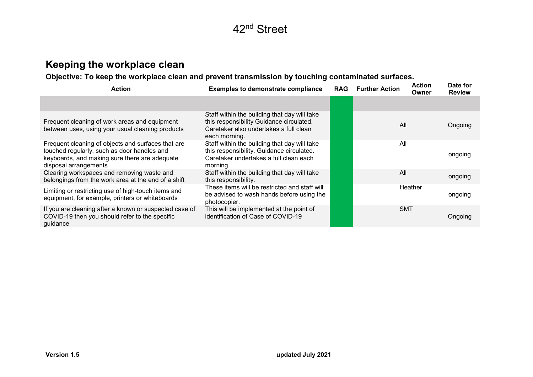### Keeping the workplace clean

Objective: To keep the workplace clean and prevent transmission by touching contaminated surfaces.

| <b>Action</b>                                                                                                                                                               | <b>Examples to demonstrate compliance</b>                                                                                                           | <b>RAG</b> | <b>Further Action</b> | <b>Action</b><br>Owner | Date for<br><b>Review</b> |
|-----------------------------------------------------------------------------------------------------------------------------------------------------------------------------|-----------------------------------------------------------------------------------------------------------------------------------------------------|------------|-----------------------|------------------------|---------------------------|
|                                                                                                                                                                             |                                                                                                                                                     |            |                       |                        |                           |
| Frequent cleaning of work areas and equipment<br>between uses, using your usual cleaning products                                                                           | Staff within the building that day will take<br>this responsibility Guidance circulated.<br>Caretaker also undertakes a full clean<br>each morning. |            | All                   |                        | Ongoing                   |
| Frequent cleaning of objects and surfaces that are<br>touched regularly, such as door handles and<br>keyboards, and making sure there are adequate<br>disposal arrangements | Staff within the building that day will take<br>this responsibility. Guidance circulated.<br>Caretaker undertakes a full clean each<br>morning.     |            | All                   |                        | ongoing                   |
| Clearing workspaces and removing waste and<br>belongings from the work area at the end of a shift                                                                           | Staff within the building that day will take<br>this responsibility.                                                                                |            | All                   |                        | ongoing                   |
| Limiting or restricting use of high-touch items and<br>equipment, for example, printers or whiteboards                                                                      | These items will be restricted and staff will<br>be advised to wash hands before using the<br>photocopier.                                          |            |                       | Heather                | ongoing                   |
| If you are cleaning after a known or suspected case of<br>COVID-19 then you should refer to the specific<br>guidance                                                        | This will be implemented at the point of<br>identification of Case of COVID-19                                                                      |            | <b>SMT</b>            |                        | Ongoing                   |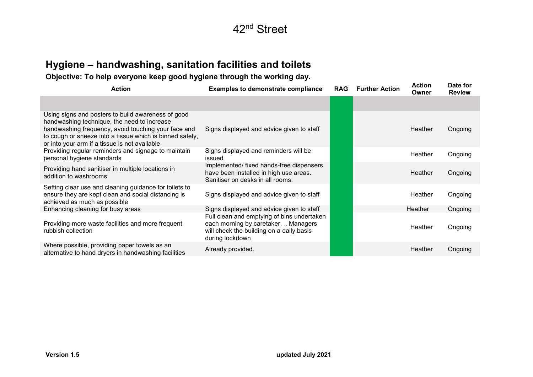### Hygiene – handwashing, sanitation facilities and toilets

Objective: To help everyone keep good hygiene through the working day.

| <b>Action</b>                                                                                                                                                                                                                                                         | <b>Examples to demonstrate compliance</b>                                                                                                          | <b>RAG</b> | <b>Further Action</b> | <b>Action</b><br>Owner | Date for<br><b>Review</b> |
|-----------------------------------------------------------------------------------------------------------------------------------------------------------------------------------------------------------------------------------------------------------------------|----------------------------------------------------------------------------------------------------------------------------------------------------|------------|-----------------------|------------------------|---------------------------|
|                                                                                                                                                                                                                                                                       |                                                                                                                                                    |            |                       |                        |                           |
| Using signs and posters to build awareness of good<br>handwashing technique, the need to increase<br>handwashing frequency, avoid touching your face and<br>to cough or sneeze into a tissue which is binned safely,<br>or into your arm if a tissue is not available | Signs displayed and advice given to staff                                                                                                          |            |                       | Heather                | Ongoing                   |
| Providing regular reminders and signage to maintain<br>personal hygiene standards                                                                                                                                                                                     | Signs displayed and reminders will be<br>issued                                                                                                    |            |                       | Heather                | Ongoing                   |
| Providing hand sanitiser in multiple locations in<br>addition to washrooms                                                                                                                                                                                            | Implemented/fixed hands-free dispensers<br>have been installed in high use areas.<br>Sanitiser on desks in all rooms.                              |            |                       | <b>Heather</b>         | Ongoing                   |
| Setting clear use and cleaning guidance for toilets to<br>ensure they are kept clean and social distancing is<br>achieved as much as possible                                                                                                                         | Signs displayed and advice given to staff                                                                                                          |            |                       | Heather                | Ongoing                   |
| Enhancing cleaning for busy areas                                                                                                                                                                                                                                     | Signs displayed and advice given to staff                                                                                                          |            |                       | Heather                | Ongoing                   |
| Providing more waste facilities and more frequent<br>rubbish collection                                                                                                                                                                                               | Full clean and emptying of bins undertaken<br>each morning by caretaker. . Managers<br>will check the building on a daily basis<br>during lockdown |            |                       | Heather                | Ongoing                   |
| Where possible, providing paper towels as an<br>alternative to hand dryers in handwashing facilities                                                                                                                                                                  | Already provided.                                                                                                                                  |            |                       | <b>Heather</b>         | Ongoing                   |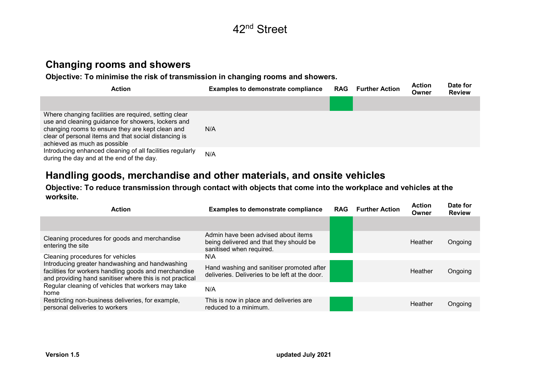

#### Changing rooms and showers

Objective: To minimise the risk of transmission in changing rooms and showers.

| <b>Action</b>                                                                                                                                                                                                                                            | <b>Examples to demonstrate compliance</b> | <b>RAG</b> | <b>Further Action</b> | <b>Action</b><br>Owner | Date for<br><b>Review</b> |
|----------------------------------------------------------------------------------------------------------------------------------------------------------------------------------------------------------------------------------------------------------|-------------------------------------------|------------|-----------------------|------------------------|---------------------------|
|                                                                                                                                                                                                                                                          |                                           |            |                       |                        |                           |
| Where changing facilities are required, setting clear<br>use and cleaning guidance for showers, lockers and<br>changing rooms to ensure they are kept clean and<br>clear of personal items and that social distancing is<br>achieved as much as possible | N/A                                       |            |                       |                        |                           |
| Introducing enhanced cleaning of all facilities regularly<br>during the day and at the end of the day.                                                                                                                                                   | N/A                                       |            |                       |                        |                           |

#### Handling goods, merchandise and other materials, and onsite vehicles

#### Objective: To reduce transmission through contact with objects that come into the workplace and vehicles at the worksite.

| <b>Action</b>                                                                                                                                                        | <b>Examples to demonstrate compliance</b>                                                                  | <b>RAG</b> | <b>Further Action</b> | <b>Action</b><br>Owner | Date for<br><b>Review</b> |
|----------------------------------------------------------------------------------------------------------------------------------------------------------------------|------------------------------------------------------------------------------------------------------------|------------|-----------------------|------------------------|---------------------------|
|                                                                                                                                                                      |                                                                                                            |            |                       |                        |                           |
| Cleaning procedures for goods and merchandise<br>entering the site                                                                                                   | Admin have been advised about items<br>being delivered and that they should be<br>sanitised when required. |            |                       | Heather                | Ongoing                   |
| Cleaning procedures for vehicles                                                                                                                                     | N\A                                                                                                        |            |                       |                        |                           |
| Introducing greater handwashing and handwashing<br>facilities for workers handling goods and merchandise<br>and providing hand sanitiser where this is not practical | Hand washing and sanitiser promoted after<br>deliveries. Deliveries to be left at the door.                |            |                       | Heather                | Ongoing                   |
| Regular cleaning of vehicles that workers may take<br>home                                                                                                           | N/A                                                                                                        |            |                       |                        |                           |
| Restricting non-business deliveries, for example,<br>personal deliveries to workers                                                                                  | This is now in place and deliveries are<br>reduced to a minimum.                                           |            |                       | Heather                | Ongoing                   |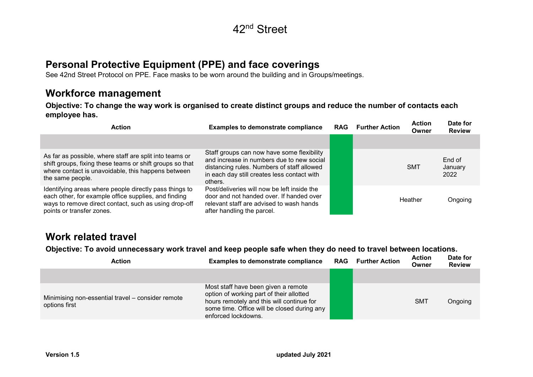#### Personal Protective Equipment (PPE) and face coverings

See 42nd Street Protocol on PPE. Face masks to be worn around the building and in Groups/meetings.

#### Workforce management

Objective: To change the way work is organised to create distinct groups and reduce the number of contacts each employee has.

| <b>Action</b>                                                                                                                                                                                        | <b>Examples to demonstrate compliance</b>                                                                                                                                                       | <b>RAG</b> | <b>Further Action</b> | <b>Action</b><br>Owner | Date for<br><b>Review</b> |
|------------------------------------------------------------------------------------------------------------------------------------------------------------------------------------------------------|-------------------------------------------------------------------------------------------------------------------------------------------------------------------------------------------------|------------|-----------------------|------------------------|---------------------------|
|                                                                                                                                                                                                      |                                                                                                                                                                                                 |            |                       |                        |                           |
| As far as possible, where staff are split into teams or<br>shift groups, fixing these teams or shift groups so that<br>where contact is unavoidable, this happens between<br>the same people.        | Staff groups can now have some flexibility<br>and increase in numbers due to new social<br>distancing rules. Numbers of staff allowed<br>in each day still creates less contact with<br>others. |            |                       | <b>SMT</b>             | End of<br>January<br>2022 |
| Identifying areas where people directly pass things to<br>each other, for example office supplies, and finding<br>ways to remove direct contact, such as using drop-off<br>points or transfer zones. | Post/deliveries will now be left inside the<br>door and not handed over. If handed over<br>relevant staff are advised to wash hands<br>after handling the parcel.                               |            |                       | Heather                | Ongoing                   |

#### Work related travel

Objective: To avoid unnecessary work travel and keep people safe when they do need to travel between locations.

| <b>Action</b>                                                      | <b>Examples to demonstrate compliance</b>                                                                                                                                                          | RAG | <b>Further Action</b> | <b>Action</b><br>Owner | Date for<br><b>Review</b> |
|--------------------------------------------------------------------|----------------------------------------------------------------------------------------------------------------------------------------------------------------------------------------------------|-----|-----------------------|------------------------|---------------------------|
|                                                                    |                                                                                                                                                                                                    |     |                       |                        |                           |
| Minimising non-essential travel - consider remote<br>options first | Most staff have been given a remote<br>option of working part of their allotted<br>hours remotely and this will continue for<br>some time. Office will be closed during any<br>enforced lockdowns. |     |                       | <b>SMT</b>             | Ongoing                   |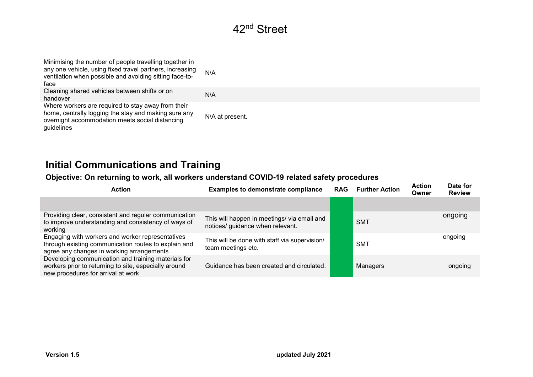| Minimising the number of people travelling together in<br>any one vehicle, using fixed travel partners, increasing<br>ventilation when possible and avoiding sitting face-to-<br>face | N\A             |
|---------------------------------------------------------------------------------------------------------------------------------------------------------------------------------------|-----------------|
| Cleaning shared vehicles between shifts or on<br>handover                                                                                                                             | N\A             |
| Where workers are required to stay away from their<br>home, centrally logging the stay and making sure any<br>overnight accommodation meets social distancing<br>guidelines           | N\A at present. |

### Initial Communications and Training

#### Objective: On returning to work, all workers understand COVID-19 related safety procedures

| <b>Action</b>                                                                                                                                         | <b>Examples to demonstrate compliance</b>                                       | <b>RAG</b> | <b>Further Action</b> | <b>Action</b><br>Owner | Date for<br><b>Review</b> |
|-------------------------------------------------------------------------------------------------------------------------------------------------------|---------------------------------------------------------------------------------|------------|-----------------------|------------------------|---------------------------|
|                                                                                                                                                       |                                                                                 |            |                       |                        |                           |
| Providing clear, consistent and regular communication<br>to improve understanding and consistency of ways of<br>working                               | This will happen in meetings/ via email and<br>notices/ guidance when relevant. |            | <b>SMT</b>            |                        | ongoing                   |
| Engaging with workers and worker representatives<br>through existing communication routes to explain and<br>agree any changes in working arrangements | This will be done with staff via supervision/<br>team meetings etc.             |            | <b>SMT</b>            |                        | ongoing                   |
| Developing communication and training materials for<br>workers prior to returning to site, especially around<br>new procedures for arrival at work    | Guidance has been created and circulated.                                       |            | Managers              |                        | ongoing                   |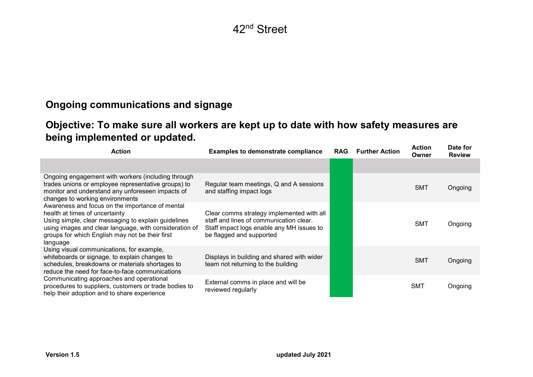### Ongoing communications and signage

### Objective: To make sure all workers are kept up to date with how safety measures are being implemented or updated.

| <b>Action</b>                                                                                                                                                                                                                                                     | <b>Examples to demonstrate compliance</b>                                                                                                                     | <b>RAG</b> | <b>Further Action</b> | <b>Action</b><br>Owner | Date for<br><b>Review</b> |
|-------------------------------------------------------------------------------------------------------------------------------------------------------------------------------------------------------------------------------------------------------------------|---------------------------------------------------------------------------------------------------------------------------------------------------------------|------------|-----------------------|------------------------|---------------------------|
|                                                                                                                                                                                                                                                                   |                                                                                                                                                               |            |                       |                        |                           |
| Ongoing engagement with workers (including through<br>trades unions or employee representative groups) to<br>monitor and understand any unforeseen impacts of<br>changes to working environments                                                                  | Regular team meetings, Q and A sessions<br>and staffing impact logs                                                                                           |            |                       | <b>SMT</b>             | Ongoing                   |
| Awareness and focus on the importance of mental<br>health at times of uncertainty<br>Using simple, clear messaging to explain guidelines<br>using images and clear language, with consideration of<br>groups for which English may not be their first<br>language | Clear comms strategy implemented with all<br>staff and lines of communication clear.<br>Staff impact logs enable any MH issues to<br>be flagged and supported |            |                       | <b>SMT</b>             | Ongoing                   |
| Using visual communications, for example,<br>whiteboards or signage, to explain changes to<br>schedules, breakdowns or materials shortages to<br>reduce the need for face-to-face communications                                                                  | Displays in building and shared with wider<br>team not returning to the building                                                                              |            |                       | <b>SMT</b>             | Ongoing                   |
| Communicating approaches and operational<br>procedures to suppliers, customers or trade bodies to<br>help their adoption and to share experience                                                                                                                  | External comms in place and will be<br>reviewed regularly                                                                                                     |            |                       | <b>SMT</b>             | Ongoing                   |